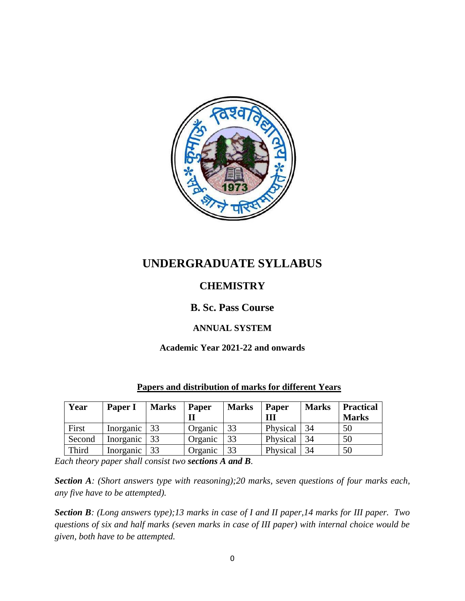

# **UNDERGRADUATE SYLLABUS**

# **CHEMISTRY**

# **B. Sc. Pass Course**

# **ANNUAL SYSTEM**

# **Academic Year 2021-22 and onwards**

| Year   | Paper I                       | <b>Marks</b> | Paper   | <b>Marks</b> | Paper<br>Ш | <b>Marks</b> | <b>Practical</b><br><b>Marks</b> |
|--------|-------------------------------|--------------|---------|--------------|------------|--------------|----------------------------------|
| First  | Inorganic $\vert \cdot \vert$ | 33           | Organic | 33           | Physical   | 34           | 50                               |
| Second | Inorganic                     |              | Organic | 33           | Physical   | 34           | 50                               |
| Third  | Inorganic                     | 33           | Organic | 33           | Physical   | 34           | 50                               |

# **Papers and distribution of marks for different Years**

*Each theory paper shall consist two sections A and B.* 

*Section A: (Short answers type with reasoning);20 marks, seven questions of four marks each, any five have to be attempted).*

*Section B: (Long answers type);13 marks in case of I and II paper,14 marks for III paper. Two questions of six and half marks (seven marks in case of III paper) with internal choice would be given, both have to be attempted.*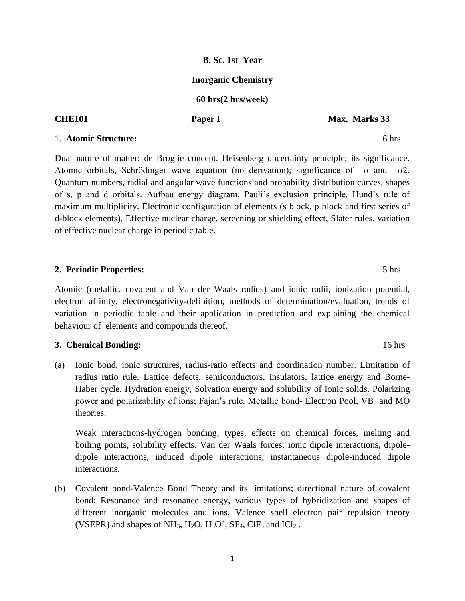# **B. Sc. 1st Year**

# **Inorganic Chemistry**

## **60 hrs(2 hrs/week)**

**CHE101 Paper I Max. Marks 33** 

### 1. **Atomic Structure:** 6 hrs

Dual nature of matter; de Broglie concept. Heisenberg uncertainty principle; its significance. Atomic orbitals, Schrödinger wave equation (no derivation); significance of  $\psi$  and  $\psi$ 2. Quantum numbers, radial and angular wave functions and probability distribution curves, shapes of s, p and d orbitals. Aufbau energy diagram, Pauli's exclusion principle. Hund's rule of maximum multiplicity. Electronic configuration of elements (s block, p block and first series of d-block elements). Effective nuclear charge, screening or shielding effect, Slater rules, variation of effective nuclear charge in periodic table.

### **2. Periodic Properties:** 5 hrs

Atomic (metallic, covalent and Van der Waals radius) and ionic radii, ionization potential, electron affinity, electronegativity-definition, methods of determination/evaluation, trends of variation in periodic table and their application in prediction and explaining the chemical behaviour of elements and compounds thereof.

### **3. Chemical Bonding:** 16 hrs

(a) Ionic bond, ionic structures, radius-ratio effects and coordination number. Limitation of radius ratio rule. Lattice defects, semiconductors, insulators, lattice energy and Borne-Haber cycle. Hydration energy, Solvation energy and solubility of ionic solids. Polarizing power and polarizability of ions; Fajan's rule. Metallic bond- Electron Pool, VB and MO theories.

Weak interactions-hydrogen bonding; types, effects on chemical forces, melting and boiling points, solubility effects. Van der Waals forces; ionic dipole interactions, dipoledipole interactions, induced dipole interactions, instantaneous dipole-induced dipole interactions.

(b) Covalent bond-Valence Bond Theory and its limitations; directional nature of covalent bond; Resonance and resonance energy, various types of hybridization and shapes of different inorganic molecules and ions. Valence shell electron pair repulsion theory (VSEPR) and shapes of NH<sub>3</sub>, H<sub>2</sub>O, H<sub>3</sub>O<sup>+</sup>, SF<sub>4</sub>, ClF<sub>3</sub> and ICl<sub>2</sub><sup>-</sup>.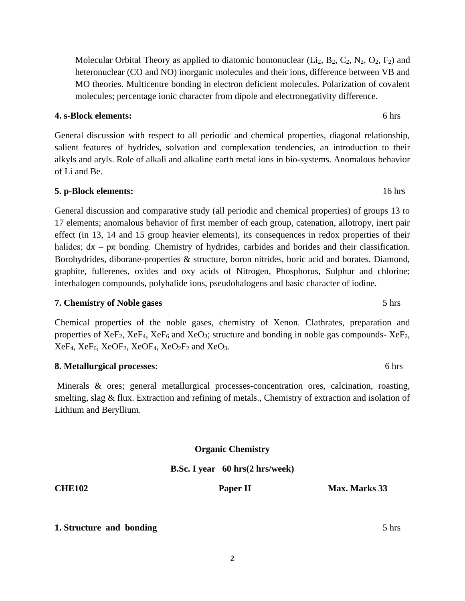Molecular Orbital Theory as applied to diatomic homonuclear (Li<sub>2</sub>, B<sub>2</sub>, C<sub>2</sub>, N<sub>2</sub>, O<sub>2</sub>, F<sub>2</sub>) and heteronuclear (CO and NO) inorganic molecules and their ions, difference between VB and MO theories. Multicentre bonding in electron deficient molecules. Polarization of covalent molecules; percentage ionic character from dipole and electronegativity difference.

### **4. s-Block elements:** 6 hrs

General discussion with respect to all periodic and chemical properties, diagonal relationship, salient features of hydrides, solvation and complexation tendencies, an introduction to their alkyls and aryls. Role of alkali and alkaline earth metal ions in bio-systems. Anomalous behavior of Li and Be.

# **5. p-Block elements:** 16 hrs

General discussion and comparative study (all periodic and chemical properties) of groups 13 to 17 elements; anomalous behavior of first member of each group, catenation, allotropy, inert pair effect (in 13, 14 and 15 group heavier elements), its consequences in redox properties of their halides;  $d\pi - p\pi$  bonding. Chemistry of hydrides, carbides and borides and their classification. Borohydrides, diborane-properties & structure, boron nitrides, boric acid and borates. Diamond, graphite, fullerenes, oxides and oxy acids of Nitrogen, Phosphorus, Sulphur and chlorine; interhalogen compounds, polyhalide ions, pseudohalogens and basic character of iodine.

# **7. Chemistry of Noble gases** 5 hrs

Chemical properties of the noble gases, chemistry of Xenon. Clathrates, preparation and properties of  $XeF_2$ ,  $XeF_4$ ,  $XeF_6$  and  $XeO_3$ ; structure and bonding in noble gas compounds-  $XeF_2$ ,  $XeF_4$ ,  $XeF_6$ ,  $XeOF_2$ ,  $XeOF_4$ ,  $XeO_2F_2$  and  $XeO_3$ .

# **8. Metallurgical processes**: 6 hrs

Minerals & ores; general metallurgical processes-concentration ores, calcination, roasting, smelting, slag & flux. Extraction and refining of metals., Chemistry of extraction and isolation of Lithium and Beryllium.

**Organic Chemistry**

# **B.Sc. I year 60 hrs(2 hrs/week)**

**CHE102 Paper II Max. Marks 33**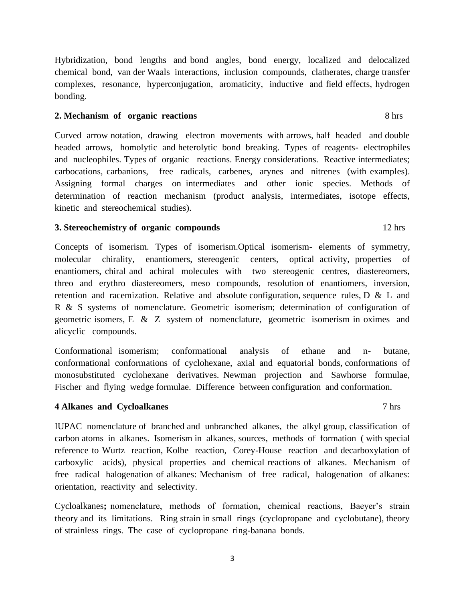Hybridization, bond lengths and bond angles, bond energy, localized and delocalized chemical bond, van der Waals interactions, inclusion compounds, clatherates, charge transfer complexes, resonance, hyperconjugation, aromaticity, inductive and field effects, hydrogen bonding.

#### **2. Mechanism of organic reactions** 8 hrs

Curved arrow notation, drawing electron movements with arrows, half headed and double headed arrows, homolytic and heterolytic bond breaking. Types of reagents- electrophiles and nucleophiles. Types of organic reactions. Energy considerations. Reactive intermediates; carbocations, carbanions, free radicals, carbenes, arynes and nitrenes (with examples). Assigning formal charges on intermediates and other ionic species. Methods of determination of reaction mechanism (product analysis, intermediates, isotope effects, kinetic and stereochemical studies).

#### **3. Stereochemistry of organic compounds** 12 hrs

Concepts of isomerism. Types of isomerism.Optical isomerism- elements of symmetry, molecular chirality, enantiomers, stereogenic centers, optical activity, properties of enantiomers, chiral and achiral molecules with two stereogenic centres, diastereomers, threo and erythro diastereomers, meso compounds, resolution of enantiomers, inversion, retention and racemization. Relative and absolute configuration, sequence rules, D & L and R & S systems of nomenclature. Geometric isomerism; determination of configuration of geometric isomers, E & Z system of nomenclature, geometric isomerism in oximes and alicyclic compounds.

Conformational isomerism; conformational analysis of ethane and n- butane, conformational conformations of cyclohexane, axial and equatorial bonds, conformations of monosubstituted cyclohexane derivatives. Newman projection and Sawhorse formulae, Fischer and flying wedge formulae. Difference between configuration and conformation.

#### **4 Alkanes and Cycloalkanes** 7 hrs

IUPAC nomenclature of branched and unbranched alkanes, the alkyl group, classification of carbon atoms in alkanes. Isomerism in alkanes, sources, methods of formation ( with special reference to Wurtz reaction, Kolbe reaction, Corey-House reaction and decarboxylation of carboxylic acids), physical properties and chemical reactions of alkanes. Mechanism of free radical halogenation of alkanes: Mechanism of free radical, halogenation of alkanes: orientation, reactivity and selectivity.

Cycloalkanes**;** nomenclature, methods of formation, chemical reactions, Baeyer's strain theory and its limitations. Ring strain in small rings (cyclopropane and cyclobutane), theory of strainless rings. The case of cyclopropane ring-banana bonds.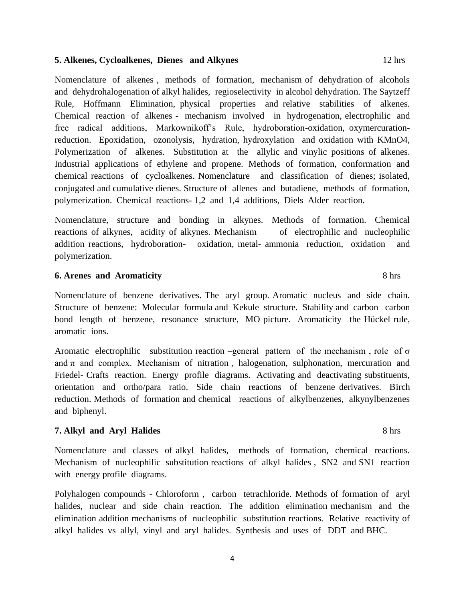#### **5. Alkenes, Cycloalkenes, Dienes and Alkynes** 12 hrs

Nomenclature of alkenes , methods of formation, mechanism of dehydration of alcohols and dehydrohalogenation of alkyl halides, regioselectivity in alcohol dehydration. The Saytzeff Rule, Hoffmann Elimination, physical properties and relative stabilities of alkenes. Chemical reaction of alkenes - mechanism involved in hydrogenation, electrophilic and free radical additions, Markownikoff's Rule, hydroboration-oxidation, oxymercurationreduction. Epoxidation, ozonolysis, hydration, hydroxylation and oxidation with KMnO4, Polymerization of alkenes. Substitution at the allylic and vinylic positions of alkenes. Industrial applications of ethylene and propene. Methods of formation, conformation and chemical reactions of cycloalkenes. Nomenclature and classification of dienes; isolated, conjugated and cumulative dienes. Structure of allenes and butadiene, methods of formation, polymerization. Chemical reactions- 1,2 and 1,4 additions, Diels Alder reaction.

Nomenclature, structure and bonding in alkynes. Methods of formation. Chemical reactions of alkynes, acidity of alkynes. Mechanism of electrophilic and nucleophilic addition reactions, hydroboration- oxidation, metal- ammonia reduction, oxidation and polymerization.

#### **6. Arenes and Aromaticity** 8 hrs

Nomenclature of benzene derivatives. The aryl group. Aromatic nucleus and side chain. Structure of benzene: Molecular formula and Kekule structure. Stability and carbon –carbon bond length of benzene, resonance structure, MO picture. Aromaticity –the Hückel rule, aromatic ions.

Aromatic electrophilic substitution reaction –general pattern of the mechanism, role of  $\sigma$ and  $\pi$  and complex. Mechanism of nitration, halogenation, sulphonation, mercuration and Friedel- Crafts reaction. Energy profile diagrams. Activating and deactivating substituents, orientation and ortho/para ratio. Side chain reactions of benzene derivatives. Birch reduction. Methods of formation and chemical reactions of alkylbenzenes, alkynylbenzenes and biphenyl.

### **7. Alkyl and Aryl Halides** 8 hrs

Nomenclature and classes of alkyl halides, methods of formation, chemical reactions. Mechanism of nucleophilic substitution reactions of alkyl halides , SN2 and SN1 reaction with energy profile diagrams.

Polyhalogen compounds - Chloroform , carbon tetrachloride. Methods of formation of aryl halides, nuclear and side chain reaction. The addition elimination mechanism and the elimination addition mechanisms of nucleophilic substitution reactions. Relative reactivity of alkyl halides vs allyl, vinyl and aryl halides. Synthesis and uses of DDT and BHC.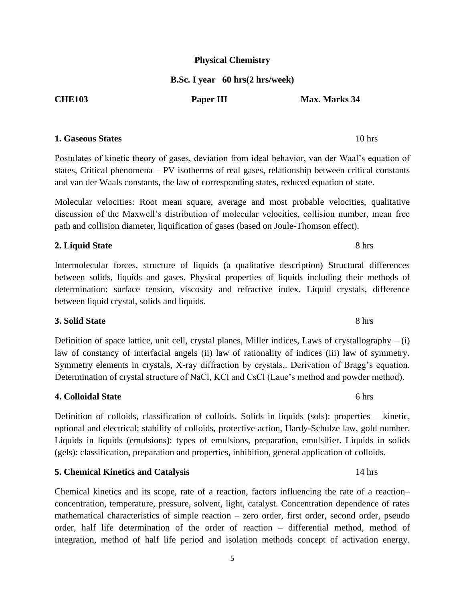# **Physical Chemistry**

## **B.Sc. I year 60 hrs(2 hrs/week)**

#### **1. Gaseous States** 10 hrs

Postulates of kinetic theory of gases, deviation from ideal behavior, van der Waal's equation of states, Critical phenomena – PV isotherms of real gases, relationship between critical constants and van der Waals constants, the law of corresponding states, reduced equation of state.

Molecular velocities: Root mean square, average and most probable velocities, qualitative discussion of the Maxwell's distribution of molecular velocities, collision number, mean free path and collision diameter, liquification of gases (based on Joule-Thomson effect).

### **2. Liquid State** 8 hrs

Intermolecular forces, structure of liquids (a qualitative description) Structural differences between solids, liquids and gases. Physical properties of liquids including their methods of determination: surface tension, viscosity and refractive index. Liquid crystals, difference between liquid crystal, solids and liquids.

### **3. Solid State** 8 hrs

Definition of space lattice, unit cell, crystal planes, Miller indices, Laws of crystallography – (i) law of constancy of interfacial angels (ii) law of rationality of indices (iii) law of symmetry. Symmetry elements in crystals, X-ray diffraction by crystals,. Derivation of Bragg's equation. Determination of crystal structure of NaCl, KCl and CsCl (Laue's method and powder method).

### **4. Colloidal State** 6 hrs

Definition of colloids, classification of colloids. Solids in liquids (sols): properties – kinetic, optional and electrical; stability of colloids, protective action, Hardy-Schulze law, gold number. Liquids in liquids (emulsions): types of emulsions, preparation, emulsifier. Liquids in solids (gels): classification, preparation and properties, inhibition, general application of colloids.

### **5. Chemical Kinetics and Catalysis** 14 hrs

Chemical kinetics and its scope, rate of a reaction, factors influencing the rate of a reaction– concentration, temperature, pressure, solvent, light, catalyst. Concentration dependence of rates mathematical characteristics of simple reaction – zero order, first order, second order, pseudo order, half life determination of the order of reaction – differential method, method of integration, method of half life period and isolation methods concept of activation energy.

# **CHE103 Paper III Max. Marks 34**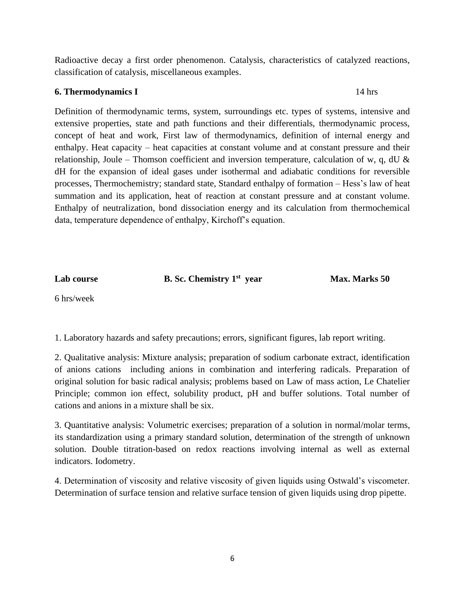Radioactive decay a first order phenomenon. Catalysis, characteristics of catalyzed reactions, classification of catalysis, miscellaneous examples.

### **6. Thermodynamics I** 14 hrs

Definition of thermodynamic terms, system, surroundings etc. types of systems, intensive and extensive properties, state and path functions and their differentials, thermodynamic process, concept of heat and work, First law of thermodynamics, definition of internal energy and enthalpy. Heat capacity – heat capacities at constant volume and at constant pressure and their relationship, Joule – Thomson coefficient and inversion temperature, calculation of w, q, dU  $\&$ dH for the expansion of ideal gases under isothermal and adiabatic conditions for reversible processes, Thermochemistry; standard state, Standard enthalpy of formation – Hess's law of heat summation and its application, heat of reaction at constant pressure and at constant volume. Enthalpy of neutralization, bond dissociation energy and its calculation from thermochemical data, temperature dependence of enthalpy, Kirchoff's equation.

Lab course **B. Sc. Chemistry 1<sup>st</sup> year** 

**st year Max. Marks 50** 

6 hrs/week

1. Laboratory hazards and safety precautions; errors, significant figures, lab report writing.

2. Qualitative analysis: Mixture analysis; preparation of sodium carbonate extract, identification of anions cations including anions in combination and interfering radicals. Preparation of original solution for basic radical analysis; problems based on Law of mass action, Le Chatelier Principle; common ion effect, solubility product, pH and buffer solutions. Total number of cations and anions in a mixture shall be six.

3. Quantitative analysis: Volumetric exercises; preparation of a solution in normal/molar terms, its standardization using a primary standard solution, determination of the strength of unknown solution. Double titration-based on redox reactions involving internal as well as external indicators. Iodometry.

4. Determination of viscosity and relative viscosity of given liquids using Ostwald's viscometer. Determination of surface tension and relative surface tension of given liquids using drop pipette.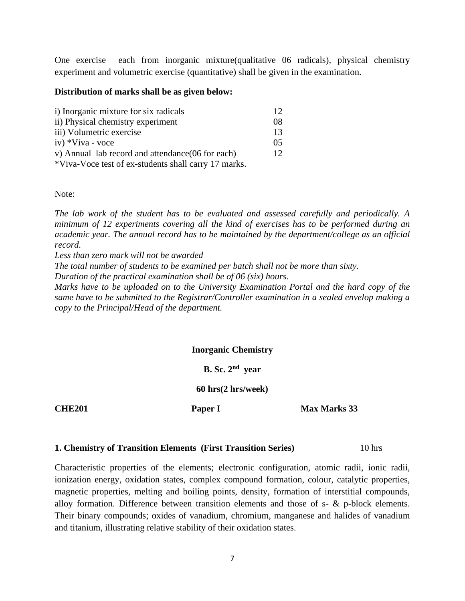One exercise each from inorganic mixture(qualitative 06 radicals), physical chemistry experiment and volumetric exercise (quantitative) shall be given in the examination.

#### **Distribution of marks shall be as given below:**

| i) Inorganic mixture for six radicals                | 12 <sup>7</sup> |
|------------------------------------------------------|-----------------|
| ii) Physical chemistry experiment                    | 08              |
| iii) Volumetric exercise                             | 13              |
| iv) *Viva - voce                                     | 05              |
| v) Annual lab record and attendance (06 for each)    | 12 <sup>7</sup> |
| *Viva-Voce test of ex-students shall carry 17 marks. |                 |

Note:

*The lab work of the student has to be evaluated and assessed carefully and periodically. A minimum of 12 experiments covering all the kind of exercises has to be performed during an academic year. The annual record has to be maintained by the department/college as an official record.*

*Less than zero mark will not be awarded* 

*The total number of students to be examined per batch shall not be more than sixty.*

*Duration of the practical examination shall be of 06 (six) hours.*

*Marks have to be uploaded on to the University Examination Portal and the hard copy of the same have to be submitted to the Registrar/Controller examination in a sealed envelop making a copy to the Principal/Head of the department.* 

#### **Inorganic Chemistry**

**B. Sc. 2nd year**

**60 hrs(2 hrs/week)**

**CHE201 Paper I Max Marks 33** 

#### **1. Chemistry of Transition Elements (First Transition Series)** 10 hrs

Characteristic properties of the elements; electronic configuration, atomic radii, ionic radii, ionization energy, oxidation states, complex compound formation, colour, catalytic properties, magnetic properties, melting and boiling points, density, formation of interstitial compounds, alloy formation. Difference between transition elements and those of s- & p-block elements. Their binary compounds; oxides of vanadium, chromium, manganese and halides of vanadium and titanium, illustrating relative stability of their oxidation states.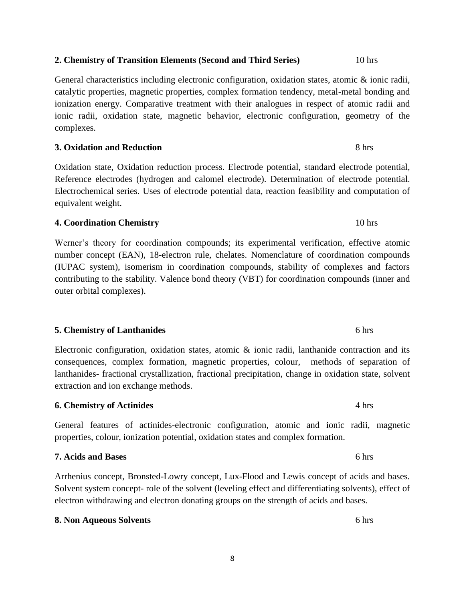# **2. Chemistry of Transition Elements (Second and Third Series)** 10 hrs

General characteristics including electronic configuration, oxidation states, atomic & ionic radii, catalytic properties, magnetic properties, complex formation tendency, metal-metal bonding and ionization energy. Comparative treatment with their analogues in respect of atomic radii and ionic radii, oxidation state, magnetic behavior, electronic configuration, geometry of the complexes.

**3. Oxidation and Reduction** 8 hrs

Oxidation state, Oxidation reduction process. Electrode potential, standard electrode potential, Reference electrodes (hydrogen and calomel electrode). Determination of electrode potential. Electrochemical series. Uses of electrode potential data, reaction feasibility and computation of equivalent weight.

### **4. Coordination Chemistry** 10 hrs

Werner's theory for coordination compounds; its experimental verification, effective atomic number concept (EAN), 18-electron rule, chelates. Nomenclature of coordination compounds (IUPAC system), isomerism in coordination compounds, stability of complexes and factors contributing to the stability. Valence bond theory (VBT) for coordination compounds (inner and outer orbital complexes).

# **5. Chemistry of Lanthanides** 6 hrs

Electronic configuration, oxidation states, atomic & ionic radii, lanthanide contraction and its consequences, complex formation, magnetic properties, colour, methods of separation of lanthanides- fractional crystallization, fractional precipitation, change in oxidation state, solvent extraction and ion exchange methods.

### **6. Chemistry of Actinides** 4 hrs

# General features of actinides-electronic configuration, atomic and ionic radii, magnetic properties, colour, ionization potential, oxidation states and complex formation.

Arrhenius concept, Bronsted-Lowry concept, Lux-Flood and Lewis concept of acids and bases. Solvent system concept- role of the solvent (leveling effect and differentiating solvents), effect of electron withdrawing and electron donating groups on the strength of acids and bases.

**8. Non Aqueous Solvents** 6 hrs

**7. Acids and Bases** 6 hrs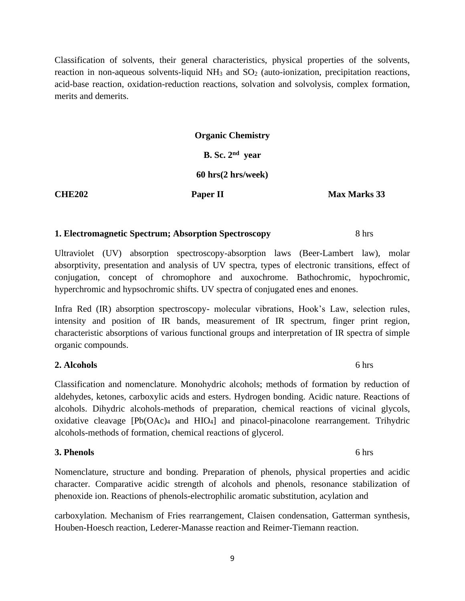Classification of solvents, their general characteristics, physical properties of the solvents, reaction in non-aqueous solvents-liquid  $NH_3$  and  $SO_2$  (auto-ionization, precipitation reactions, acid-base reaction, oxidation-reduction reactions, solvation and solvolysis, complex formation, merits and demerits.

# **Organic Chemistry B. Sc. 2 nd year**

# **60 hrs(2 hrs/week)**

**CHE202 Paper II** Max Marks 33

### **1. Electromagnetic Spectrum; Absorption Spectroscopy** 8 hrs

Ultraviolet (UV) absorption spectroscopy-absorption laws (Beer-Lambert law), molar absorptivity, presentation and analysis of UV spectra, types of electronic transitions, effect of conjugation, concept of chromophore and auxochrome. Bathochromic, hypochromic, hyperchromic and hypsochromic shifts. UV spectra of conjugated enes and enones.

Infra Red (IR) absorption spectroscopy- molecular vibrations, Hook's Law, selection rules, intensity and position of IR bands, measurement of IR spectrum, finger print region, characteristic absorptions of various functional groups and interpretation of IR spectra of simple organic compounds.

### **2. Alcohols** 6 hrs

Classification and nomenclature. Monohydric alcohols; methods of formation by reduction of aldehydes, ketones, carboxylic acids and esters. Hydrogen bonding. Acidic nature. Reactions of alcohols. Dihydric alcohols-methods of preparation, chemical reactions of vicinal glycols, oxidative cleavage [Pb(OAc)<sup>4</sup> and HIO4] and pinacol-pinacolone rearrangement. Trihydric alcohols-methods of formation, chemical reactions of glycerol.

### **3. Phenols** 6 hrs

Nomenclature, structure and bonding. Preparation of phenols, physical properties and acidic character. Comparative acidic strength of alcohols and phenols, resonance stabilization of phenoxide ion. Reactions of phenols-electrophilic aromatic substitution, acylation and

carboxylation. Mechanism of Fries rearrangement, Claisen condensation, Gatterman synthesis, Houben-Hoesch reaction, Lederer-Manasse reaction and Reimer-Tiemann reaction.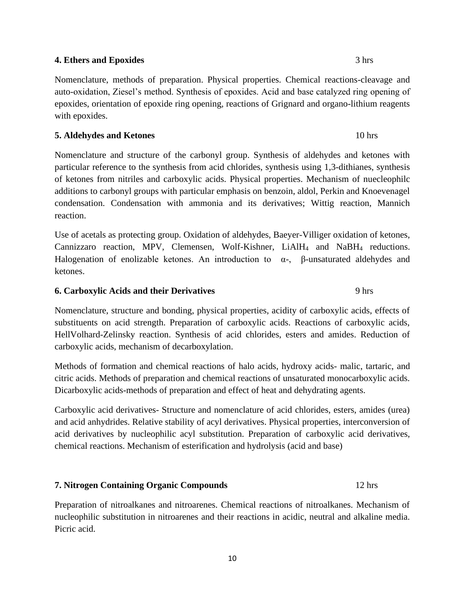### 10

# **4. Ethers and Epoxides** 3 hrs

Nomenclature, methods of preparation. Physical properties. Chemical reactions-cleavage and auto-oxidation, Ziesel's method. Synthesis of epoxides. Acid and base catalyzed ring opening of epoxides, orientation of epoxide ring opening, reactions of Grignard and organo-lithium reagents with epoxides.

# **5. Aldehydes and Ketones** 10 hrs

Nomenclature and structure of the carbonyl group. Synthesis of aldehydes and ketones with particular reference to the synthesis from acid chlorides, synthesis using 1,3-dithianes, synthesis of ketones from nitriles and carboxylic acids. Physical properties. Mechanism of nuecleophilc additions to carbonyl groups with particular emphasis on benzoin, aldol, Perkin and Knoevenagel condensation. Condensation with ammonia and its derivatives; Wittig reaction, Mannich reaction.

Use of acetals as protecting group. Oxidation of aldehydes, Baeyer-Villiger oxidation of ketones, Cannizzaro reaction, MPV, Clemensen, Wolf-Kishner, LiAlH<sup>4</sup> and NaBH<sup>4</sup> reductions. Halogenation of enolizable ketones. An introduction to  $\alpha$ -, β-unsaturated aldehydes and ketones.

# **6. Carboxylic Acids and their Derivatives** 9 hrs

Nomenclature, structure and bonding, physical properties, acidity of carboxylic acids, effects of substituents on acid strength. Preparation of carboxylic acids. Reactions of carboxylic acids, HellVolhard-Zelinsky reaction. Synthesis of acid chlorides, esters and amides. Reduction of carboxylic acids, mechanism of decarboxylation.

Methods of formation and chemical reactions of halo acids, hydroxy acids- malic, tartaric, and citric acids. Methods of preparation and chemical reactions of unsaturated monocarboxylic acids. Dicarboxylic acids-methods of preparation and effect of heat and dehydrating agents.

Carboxylic acid derivatives- Structure and nomenclature of acid chlorides, esters, amides (urea) and acid anhydrides. Relative stability of acyl derivatives. Physical properties, interconversion of acid derivatives by nucleophilic acyl substitution. Preparation of carboxylic acid derivatives, chemical reactions. Mechanism of esterification and hydrolysis (acid and base)

# **7. Nitrogen Containing Organic Compounds** 12 hrs

Preparation of nitroalkanes and nitroarenes. Chemical reactions of nitroalkanes. Mechanism of nucleophilic substitution in nitroarenes and their reactions in acidic, neutral and alkaline media. Picric acid.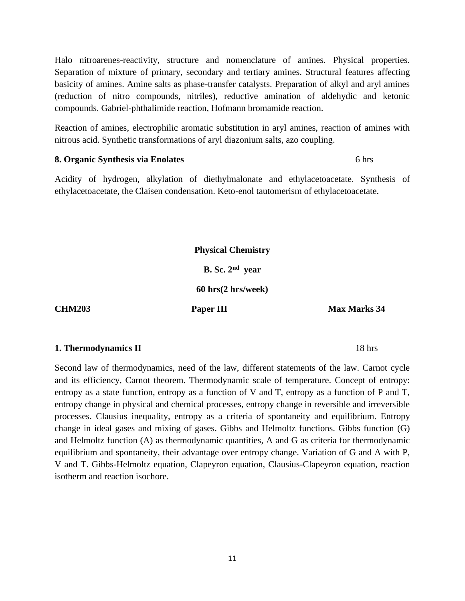Halo nitroarenes-reactivity, structure and nomenclature of amines. Physical properties. Separation of mixture of primary, secondary and tertiary amines. Structural features affecting basicity of amines. Amine salts as phase-transfer catalysts. Preparation of alkyl and aryl amines (reduction of nitro compounds, nitriles), reductive amination of aldehydic and ketonic compounds. Gabriel-phthalimide reaction, Hofmann bromamide reaction.

Reaction of amines, electrophilic aromatic substitution in aryl amines, reaction of amines with nitrous acid. Synthetic transformations of aryl diazonium salts, azo coupling.

#### **8. Organic Synthesis via Enolates** 6 hrs

Acidity of hydrogen, alkylation of diethylmalonate and ethylacetoacetate. Synthesis of ethylacetoacetate, the Claisen condensation. Keto-enol tautomerism of ethylacetoacetate.

**Physical Chemistry**

**B. Sc. 2 nd year** 

**60 hrs(2 hrs/week)**

**CHM203 Paper III** Max Marks 34

### **1. Thermodynamics II** 18 hrs

Second law of thermodynamics, need of the law, different statements of the law. Carnot cycle and its efficiency, Carnot theorem. Thermodynamic scale of temperature. Concept of entropy: entropy as a state function, entropy as a function of V and T, entropy as a function of P and T, entropy change in physical and chemical processes, entropy change in reversible and irreversible processes. Clausius inequality, entropy as a criteria of spontaneity and equilibrium. Entropy change in ideal gases and mixing of gases. Gibbs and Helmoltz functions. Gibbs function (G) and Helmoltz function (A) as thermodynamic quantities, A and G as criteria for thermodynamic equilibrium and spontaneity, their advantage over entropy change. Variation of G and A with P, V and T. Gibbs-Helmoltz equation, Clapeyron equation, Clausius-Clapeyron equation, reaction isotherm and reaction isochore.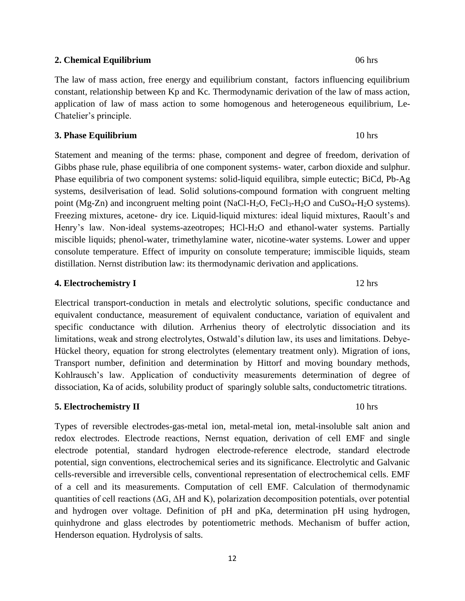#### **2. Chemical Equilibrium** 06 hrs

The law of mass action, free energy and equilibrium constant, factors influencing equilibrium constant, relationship between Kp and Kc. Thermodynamic derivation of the law of mass action, application of law of mass action to some homogenous and heterogeneous equilibrium, Le-Chatelier's principle.

#### **3. Phase Equilibrium** 10 hrs

Statement and meaning of the terms: phase, component and degree of freedom, derivation of Gibbs phase rule, phase equilibria of one component systems- water, carbon dioxide and sulphur. Phase equilibria of two component systems: solid-liquid equilibra, simple eutectic; BiCd, Pb-Ag systems, desilverisation of lead. Solid solutions-compound formation with congruent melting point (Mg-Zn) and incongruent melting point (NaCl-H<sub>2</sub>O, FeCl<sub>3</sub>-H<sub>2</sub>O and CuSO<sub>4</sub>-H<sub>2</sub>O systems). Freezing mixtures, acetone- dry ice. Liquid-liquid mixtures: ideal liquid mixtures, Raoult's and Henry's law. Non-ideal systems-azeotropes; HCl-H2O and ethanol-water systems. Partially miscible liquids; phenol-water, trimethylamine water, nicotine-water systems. Lower and upper consolute temperature. Effect of impurity on consolute temperature; immiscible liquids, steam distillation. Nernst distribution law: its thermodynamic derivation and applications.

#### **4. Electrochemistry I** 12 hrs

Electrical transport-conduction in metals and electrolytic solutions, specific conductance and equivalent conductance, measurement of equivalent conductance, variation of equivalent and specific conductance with dilution. Arrhenius theory of electrolytic dissociation and its limitations, weak and strong electrolytes, Ostwald's dilution law, its uses and limitations. Debye-Hückel theory, equation for strong electrolytes (elementary treatment only). Migration of ions, Transport number, definition and determination by Hittorf and moving boundary methods, Kohlrausch's law. Application of conductivity measurements determination of degree of dissociation, Ka of acids, solubility product of sparingly soluble salts, conductometric titrations.

### **5. Electrochemistry II** 10 hrs

Types of reversible electrodes-gas-metal ion, metal-metal ion, metal-insoluble salt anion and redox electrodes. Electrode reactions, Nernst equation, derivation of cell EMF and single electrode potential, standard hydrogen electrode-reference electrode, standard electrode potential, sign conventions, electrochemical series and its significance. Electrolytic and Galvanic cells-reversible and irreversible cells, conventional representation of electrochemical cells. EMF of a cell and its measurements. Computation of cell EMF. Calculation of thermodynamic quantities of cell reactions ( $\Delta G$ ,  $\Delta H$  and K), polarization decomposition potentials, over potential and hydrogen over voltage. Definition of pH and pKa, determination pH using hydrogen, quinhydrone and glass electrodes by potentiometric methods. Mechanism of buffer action, Henderson equation. Hydrolysis of salts.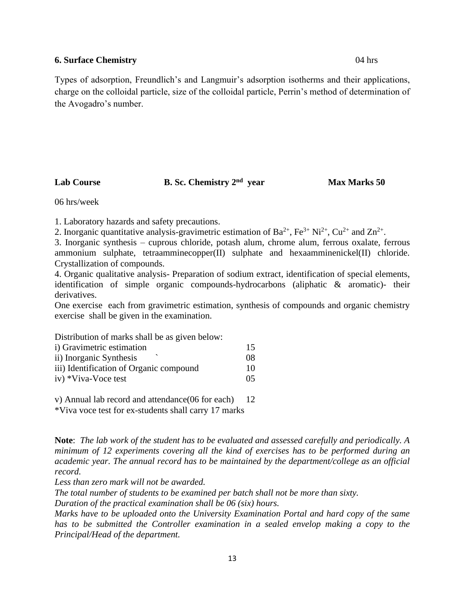#### **6. Surface Chemistry** 04 hrs

Types of adsorption, Freundlich's and Langmuir's adsorption isotherms and their applications, charge on the colloidal particle, size of the colloidal particle, Perrin's method of determination of the Avogadro's number.

Lab Course **B. Sc. Chemistry 2<sup>nd</sup> year** 

**Max Marks 50** 

06 hrs/week

1. Laboratory hazards and safety precautions.

2. Inorganic quantitative analysis-gravimetric estimation of  $Ba^{2+}$ ,  $Fe^{3+}Ni^{2+}$ ,  $Cu^{2+}$  and  $Zn^{2+}$ .

3. Inorganic synthesis – cuprous chloride, potash alum, chrome alum, ferrous oxalate, ferrous ammonium sulphate, tetraamminecopper(II) sulphate and hexaamminenickel(II) chloride. Crystallization of compounds.

4. Organic qualitative analysis- Preparation of sodium extract, identification of special elements, identification of simple organic compounds-hydrocarbons (aliphatic & aromatic)- their derivatives.

One exercise each from gravimetric estimation, synthesis of compounds and organic chemistry exercise shall be given in the examination.

Distribution of marks shall be as given below:

| i) Gravimetric estimation               | 15 |
|-----------------------------------------|----|
| ii) Inorganic Synthesis                 | 08 |
| iii) Identification of Organic compound | 10 |
| iv) *Viva-Voce test                     | 05 |

v) Annual lab record and attendance(06 for each) 12

\*Viva voce test for ex-students shall carry 17 marks

**Note**: *The lab work of the student has to be evaluated and assessed carefully and periodically. A minimum of 12 experiments covering all the kind of exercises has to be performed during an academic year. The annual record has to be maintained by the department/college as an official record.*

*Less than zero mark will not be awarded.*

*The total number of students to be examined per batch shall not be more than sixty.*

*Duration of the practical examination shall be 06 (six) hours.*

*Marks have to be uploaded onto the University Examination Portal and hard copy of the same has to be submitted the Controller examination in a sealed envelop making a copy to the Principal/Head of the department.*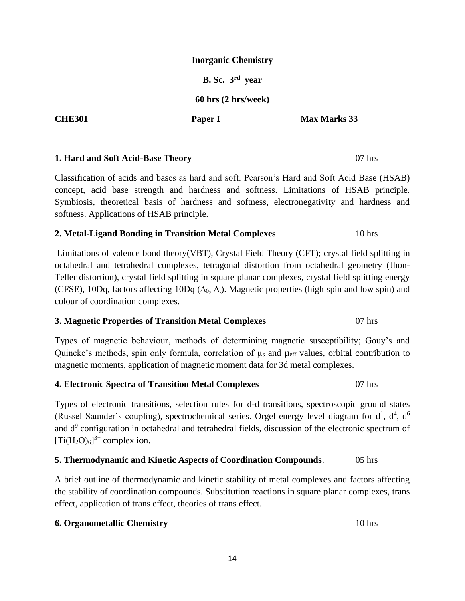A brief outline of thermodynamic and kinetic stability of metal complexes and factors affecting the stability of coordination compounds. Substitution reactions in square planar complexes, trans effect, application of trans effect, theories of trans effect.

# **6. Organometallic Chemistry** 10 hrs

### **Inorganic Chemistry**

**B. Sc. 3 rd year**

**60 hrs (2 hrs/week)**

**CHE301 Paper I Max Marks 33** 

### **1. Hard and Soft Acid-Base Theory** 07 hrs

Classification of acids and bases as hard and soft. Pearson's Hard and Soft Acid Base (HSAB) concept, acid base strength and hardness and softness. Limitations of HSAB principle. Symbiosis, theoretical basis of hardness and softness, electronegativity and hardness and softness. Applications of HSAB principle.

### **2. Metal-Ligand Bonding in Transition Metal Complexes** 10 hrs

Limitations of valence bond theory(VBT), Crystal Field Theory (CFT); crystal field splitting in octahedral and tetrahedral complexes, tetragonal distortion from octahedral geometry (Jhon-Teller distortion), crystal field splitting in square planar complexes, crystal field splitting energy (CFSE), 10Dq, factors affecting 10Dq ( $\Delta_0$ ,  $\Delta_t$ ). Magnetic properties (high spin and low spin) and colour of coordination complexes.

# **3. Magnetic Properties of Transition Metal Complexes** 07 hrs

Types of magnetic behaviour, methods of determining magnetic susceptibility; Gouy's and Quincke's methods, spin only formula, correlation of  $\mu_s$  and  $\mu_{\text{eff}}$  values, orbital contribution to magnetic moments, application of magnetic moment data for 3d metal complexes.

### **4. Electronic Spectra of Transition Metal Complexes** 07 hrs

Types of electronic transitions, selection rules for d-d transitions, spectroscopic ground states (Russel Saunder's coupling), spectrochemical series. Orgel energy level diagram for  $d^1$ ,  $d^4$ ,  $d^6$ and d<sup>9</sup> configuration in octahedral and tetrahedral fields, discussion of the electronic spectrum of  $[Ti(H<sub>2</sub>O)<sub>6</sub>]^{3+}$  complex ion.

#### **5. Thermodynamic and Kinetic Aspects of Coordination Compounds**. 05 hrs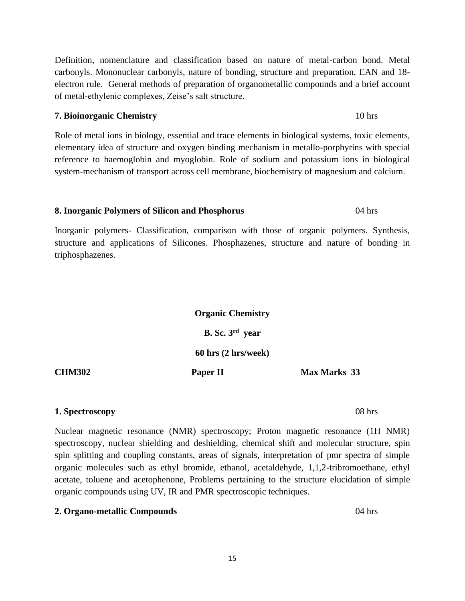Definition, nomenclature and classification based on nature of metal-carbon bond. Metal carbonyls. Mononuclear carbonyls, nature of bonding, structure and preparation. EAN and 18 electron rule. General methods of preparation of organometallic compounds and a brief account of metal-ethylenic complexes, Zeise's salt structure.

# **7. Bioinorganic Chemistry** 10 hrs

Role of metal ions in biology, essential and trace elements in biological systems, toxic elements, elementary idea of structure and oxygen binding mechanism in metallo-porphyrins with special reference to haemoglobin and myoglobin. Role of sodium and potassium ions in biological system-mechanism of transport across cell membrane, biochemistry of magnesium and calcium.

# **8. Inorganic Polymers of Silicon and Phosphorus** 04 hrs

Inorganic polymers- Classification, comparison with those of organic polymers. Synthesis, structure and applications of Silicones. Phosphazenes, structure and nature of bonding in triphosphazenes.

|               | <b>Organic Chemistry</b> |                     |
|---------------|--------------------------|---------------------|
|               | B. Sc. $3rd$ year        |                     |
|               | 60 hrs (2 hrs/week)      |                     |
| <b>CHM302</b> | Paper II                 | <b>Max Marks</b> 33 |

# **1. Spectroscopy** 08 hrs

Nuclear magnetic resonance (NMR) spectroscopy; Proton magnetic resonance (1H NMR) spectroscopy, nuclear shielding and deshielding, chemical shift and molecular structure, spin spin splitting and coupling constants, areas of signals, interpretation of pmr spectra of simple organic molecules such as ethyl bromide, ethanol, acetaldehyde, 1,1,2-tribromoethane, ethyl acetate, toluene and acetophenone, Problems pertaining to the structure elucidation of simple organic compounds using UV, IR and PMR spectroscopic techniques.

# **2. Organo-metallic Compounds** 04 hrs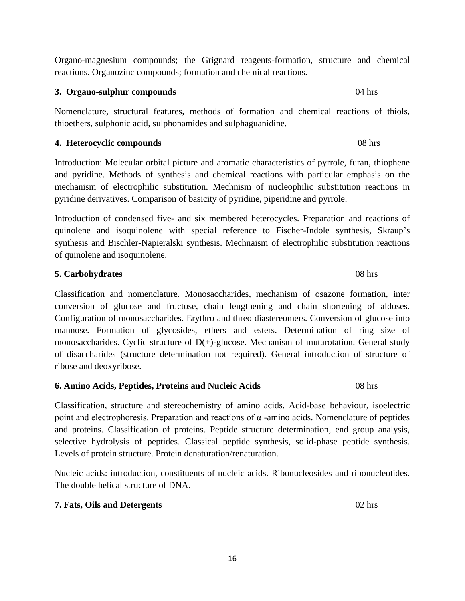Organo-magnesium compounds; the Grignard reagents-formation, structure and chemical reactions. Organozinc compounds; formation and chemical reactions.

**3. Organo-sulphur compounds** 04 hrs

Nomenclature, structural features, methods of formation and chemical reactions of thiols, thioethers, sulphonic acid, sulphonamides and sulphaguanidine.

**4. Heterocyclic compounds** 08 hrs

Introduction: Molecular orbital picture and aromatic characteristics of pyrrole, furan, thiophene and pyridine. Methods of synthesis and chemical reactions with particular emphasis on the mechanism of electrophilic substitution. Mechnism of nucleophilic substitution reactions in pyridine derivatives. Comparison of basicity of pyridine, piperidine and pyrrole.

Introduction of condensed five- and six membered heterocycles. Preparation and reactions of quinolene and isoquinolene with special reference to Fischer-Indole synthesis, Skraup's synthesis and Bischler-Napieralski synthesis. Mechnaism of electrophilic substitution reactions of quinolene and isoquinolene.

# **5. Carbohydrates** 08 hrs

Classification and nomenclature. Monosaccharides, mechanism of osazone formation, inter conversion of glucose and fructose, chain lengthening and chain shortening of aldoses. Configuration of monosaccharides. Erythro and threo diastereomers. Conversion of glucose into mannose. Formation of glycosides, ethers and esters. Determination of ring size of monosaccharides. Cyclic structure of  $D(+)$ -glucose. Mechanism of mutarotation. General study of disaccharides (structure determination not required). General introduction of structure of ribose and deoxyribose.

# **6. Amino Acids, Peptides, Proteins and Nucleic Acids** 08 hrs

Classification, structure and stereochemistry of amino acids. Acid-base behaviour, isoelectric point and electrophoresis. Preparation and reactions of  $α$  -amino acids. Nomenclature of peptides and proteins. Classification of proteins. Peptide structure determination, end group analysis, selective hydrolysis of peptides. Classical peptide synthesis, solid-phase peptide synthesis. Levels of protein structure. Protein denaturation/renaturation.

Nucleic acids: introduction, constituents of nucleic acids. Ribonucleosides and ribonucleotides. The double helical structure of DNA.

# **7. Fats, Oils and Detergents** 02 hrs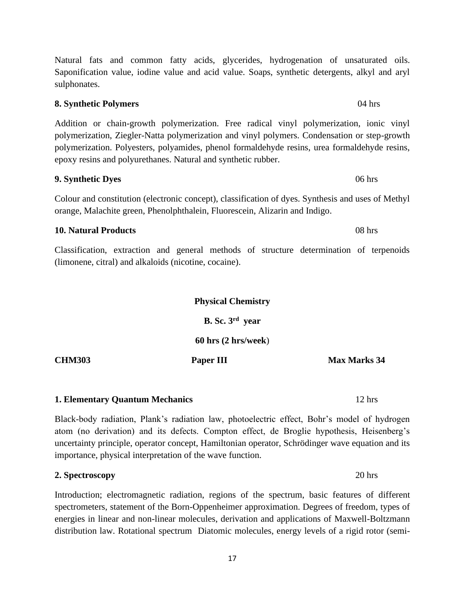Natural fats and common fatty acids, glycerides, hydrogenation of unsaturated oils. Saponification value, iodine value and acid value. Soaps, synthetic detergents, alkyl and aryl sulphonates.

Addition or chain-growth polymerization. Free radical vinyl polymerization, ionic vinyl polymerization, Ziegler-Natta polymerization and vinyl polymers. Condensation or step-growth polymerization. Polyesters, polyamides, phenol formaldehyde resins, urea formaldehyde resins, epoxy resins and polyurethanes. Natural and synthetic rubber.

Colour and constitution (electronic concept), classification of dyes. Synthesis and uses of Methyl orange, Malachite green, Phenolphthalein, Fluorescein, Alizarin and Indigo.

Classification, extraction and general methods of structure determination of terpenoids (limonene, citral) and alkaloids (nicotine, cocaine).

Black-body radiation, Plank's radiation law, photoelectric effect, Bohr's model of hydrogen atom (no derivation) and its defects. Compton effect, de Broglie hypothesis, Heisenberg's uncertainty principle, operator concept, Hamiltonian operator, Schrödinger wave equation and its importance, physical interpretation of the wave function.

**2. Spectroscopy** 20 hrs

Introduction; electromagnetic radiation, regions of the spectrum, basic features of different spectrometers, statement of the Born-Oppenheimer approximation. Degrees of freedom, types of energies in linear and non-linear molecules, derivation and applications of Maxwell-Boltzmann distribution law. Rotational spectrum Diatomic molecules, energy levels of a rigid rotor (semi-

### **10. Natural Products** 08 hrs

**Physical Chemistry B. Sc. 3 rd year 60 hrs (2 hrs/week**) **CHM303 Paper III Max Marks 34** 

# **1. Elementary Quantum Mechanics** 12 hrs

# **9. Synthetic Dyes** 06 hrs

**8. Synthetic Polymers** 04 hrs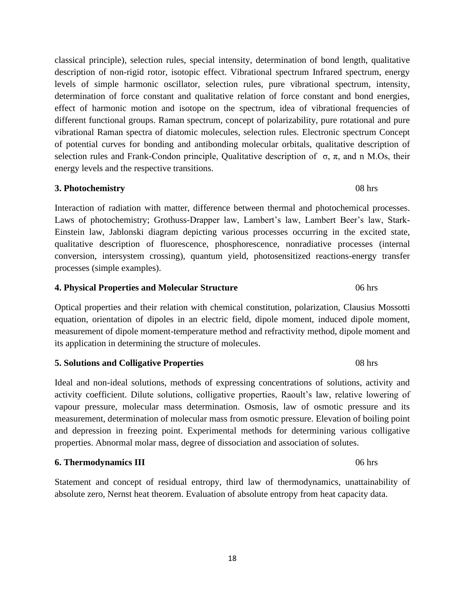18

classical principle), selection rules, special intensity, determination of bond length, qualitative description of non-rigid rotor, isotopic effect. Vibrational spectrum Infrared spectrum, energy levels of simple harmonic oscillator, selection rules, pure vibrational spectrum, intensity, determination of force constant and qualitative relation of force constant and bond energies, effect of harmonic motion and isotope on the spectrum, idea of vibrational frequencies of different functional groups. Raman spectrum, concept of polarizability, pure rotational and pure vibrational Raman spectra of diatomic molecules, selection rules. Electronic spectrum Concept of potential curves for bonding and antibonding molecular orbitals, qualitative description of selection rules and Frank-Condon principle, Qualitative description of  $\sigma$ ,  $\pi$ , and n M.Os, their energy levels and the respective transitions.

# **3. Photochemistry** 08 hrs

Interaction of radiation with matter, difference between thermal and photochemical processes. Laws of photochemistry; Grothuss-Drapper law, Lambert's law, Lambert Beer's law, Stark-Einstein law, Jablonski diagram depicting various processes occurring in the excited state, qualitative description of fluorescence, phosphorescence, nonradiative processes (internal conversion, intersystem crossing), quantum yield, photosensitized reactions-energy transfer processes (simple examples).

### **4. Physical Properties and Molecular Structure** 06 hrs

Optical properties and their relation with chemical constitution, polarization, Clausius Mossotti equation, orientation of dipoles in an electric field, dipole moment, induced dipole moment, measurement of dipole moment-temperature method and refractivity method, dipole moment and its application in determining the structure of molecules.

# **5. Solutions and Colligative Properties** 08 hrs

Ideal and non-ideal solutions, methods of expressing concentrations of solutions, activity and activity coefficient. Dilute solutions, colligative properties, Raoult's law, relative lowering of vapour pressure, molecular mass determination. Osmosis, law of osmotic pressure and its measurement, determination of molecular mass from osmotic pressure. Elevation of boiling point and depression in freezing point. Experimental methods for determining various colligative properties. Abnormal molar mass, degree of dissociation and association of solutes.

# **6. Thermodynamics III** 06 hrs

Statement and concept of residual entropy, third law of thermodynamics, unattainability of absolute zero, Nernst heat theorem. Evaluation of absolute entropy from heat capacity data.